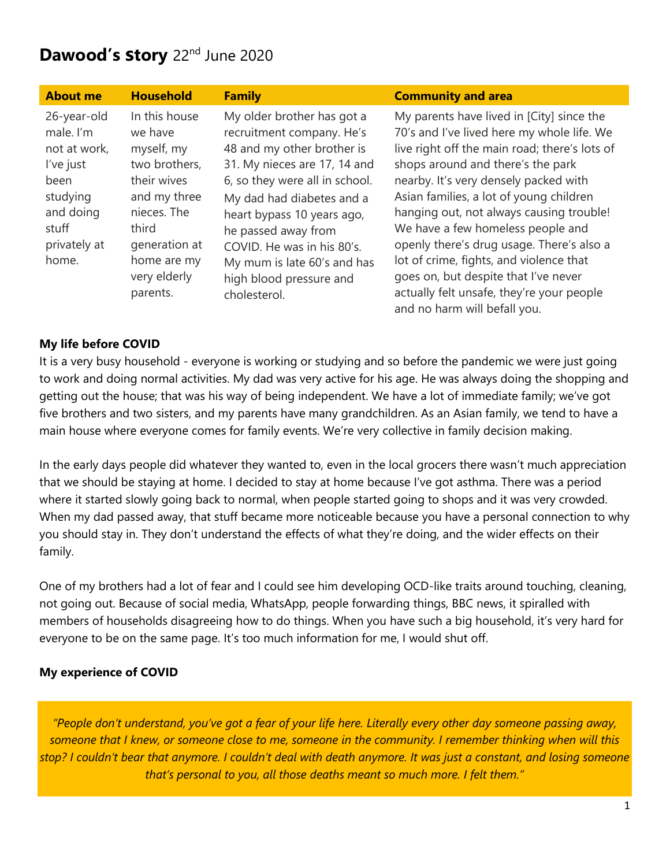# **Dawood's story** 22nd June 2020

| <b>About me</b>                                                                                                          | <b>Household</b>                                                                                                                                                           | <b>Family</b>                                                                                                                                                                                                                                                                                                                                     | <b>Community and area</b>                                                                                                                                                                                                                                                                                                                                                                                                                                                                                                                                       |
|--------------------------------------------------------------------------------------------------------------------------|----------------------------------------------------------------------------------------------------------------------------------------------------------------------------|---------------------------------------------------------------------------------------------------------------------------------------------------------------------------------------------------------------------------------------------------------------------------------------------------------------------------------------------------|-----------------------------------------------------------------------------------------------------------------------------------------------------------------------------------------------------------------------------------------------------------------------------------------------------------------------------------------------------------------------------------------------------------------------------------------------------------------------------------------------------------------------------------------------------------------|
| 26-year-old<br>male. I'm<br>not at work,<br>l've just<br>been<br>studying<br>and doing<br>stuff<br>privately at<br>home. | In this house<br>we have<br>myself, my<br>two brothers,<br>their wives<br>and my three<br>nieces. The<br>third<br>generation at<br>home are my<br>very elderly<br>parents. | My older brother has got a<br>recruitment company. He's<br>48 and my other brother is<br>31. My nieces are 17, 14 and<br>6, so they were all in school.<br>My dad had diabetes and a<br>heart bypass 10 years ago,<br>he passed away from<br>COVID. He was in his 80's.<br>My mum is late 60's and has<br>high blood pressure and<br>cholesterol. | My parents have lived in [City] since the<br>70's and I've lived here my whole life. We<br>live right off the main road; there's lots of<br>shops around and there's the park<br>nearby. It's very densely packed with<br>Asian families, a lot of young children<br>hanging out, not always causing trouble!<br>We have a few homeless people and<br>openly there's drug usage. There's also a<br>lot of crime, fights, and violence that<br>goes on, but despite that I've never<br>actually felt unsafe, they're your people<br>and no harm will befall you. |

### **My life before COVID**

It is a very busy household - everyone is working or studying and so before the pandemic we were just going to work and doing normal activities. My dad was very active for his age. He was always doing the shopping and getting out the house; that was his way of being independent. We have a lot of immediate family; we've got five brothers and two sisters, and my parents have many grandchildren. As an Asian family, we tend to have a main house where everyone comes for family events. We're very collective in family decision making.

In the early days people did whatever they wanted to, even in the local grocers there wasn't much appreciation that we should be staying at home. I decided to stay at home because I've got asthma. There was a period where it started slowly going back to normal, when people started going to shops and it was very crowded. When my dad passed away, that stuff became more noticeable because you have a personal connection to why you should stay in. They don't understand the effects of what they're doing, and the wider effects on their family.

One of my brothers had a lot of fear and I could see him developing OCD-like traits around touching, cleaning, not going out. Because of social media, WhatsApp, people forwarding things, BBC news, it spiralled with members of households disagreeing how to do things. When you have such a big household, it's very hard for everyone to be on the same page. It's too much information for me, I would shut off.

### **My experience of COVID**

*"People don't understand, you've got a fear of your life here. Literally every other day someone passing away, someone that I knew, or someone close to me, someone in the community. I remember thinking when will this stop? I couldn't bear that anymore. I couldn't deal with death anymore. It was just a constant, and losing someone that's personal to you, all those deaths meant so much more. I felt them."*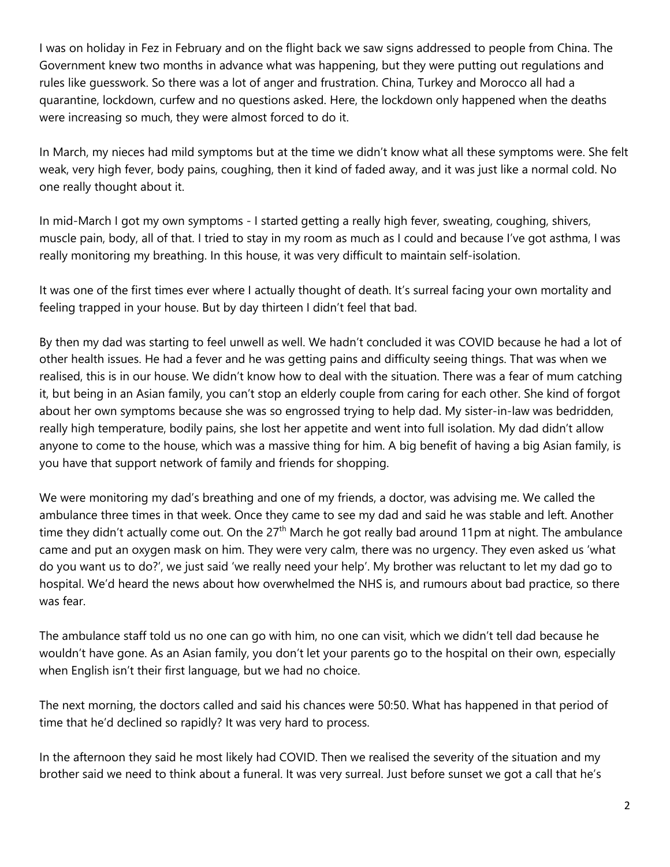I was on holiday in Fez in February and on the flight back we saw signs addressed to people from China. The Government knew two months in advance what was happening, but they were putting out regulations and rules like guesswork. So there was a lot of anger and frustration. China, Turkey and Morocco all had a quarantine, lockdown, curfew and no questions asked. Here, the lockdown only happened when the deaths were increasing so much, they were almost forced to do it.

In March, my nieces had mild symptoms but at the time we didn't know what all these symptoms were. She felt weak, very high fever, body pains, coughing, then it kind of faded away, and it was just like a normal cold. No one really thought about it.

In mid-March I got my own symptoms - I started getting a really high fever, sweating, coughing, shivers, muscle pain, body, all of that. I tried to stay in my room as much as I could and because I've got asthma, I was really monitoring my breathing. In this house, it was very difficult to maintain self-isolation.

It was one of the first times ever where I actually thought of death. It's surreal facing your own mortality and feeling trapped in your house. But by day thirteen I didn't feel that bad.

By then my dad was starting to feel unwell as well. We hadn't concluded it was COVID because he had a lot of other health issues. He had a fever and he was getting pains and difficulty seeing things. That was when we realised, this is in our house. We didn't know how to deal with the situation. There was a fear of mum catching it, but being in an Asian family, you can't stop an elderly couple from caring for each other. She kind of forgot about her own symptoms because she was so engrossed trying to help dad. My sister-in-law was bedridden, really high temperature, bodily pains, she lost her appetite and went into full isolation. My dad didn't allow anyone to come to the house, which was a massive thing for him. A big benefit of having a big Asian family, is you have that support network of family and friends for shopping.

We were monitoring my dad's breathing and one of my friends, a doctor, was advising me. We called the ambulance three times in that week. Once they came to see my dad and said he was stable and left. Another time they didn't actually come out. On the 27<sup>th</sup> March he got really bad around 11pm at night. The ambulance came and put an oxygen mask on him. They were very calm, there was no urgency. They even asked us 'what do you want us to do?', we just said 'we really need your help'. My brother was reluctant to let my dad go to hospital. We'd heard the news about how overwhelmed the NHS is, and rumours about bad practice, so there was fear.

The ambulance staff told us no one can go with him, no one can visit, which we didn't tell dad because he wouldn't have gone. As an Asian family, you don't let your parents go to the hospital on their own, especially when English isn't their first language, but we had no choice.

The next morning, the doctors called and said his chances were 50:50. What has happened in that period of time that he'd declined so rapidly? It was very hard to process.

In the afternoon they said he most likely had COVID. Then we realised the severity of the situation and my brother said we need to think about a funeral. It was very surreal. Just before sunset we got a call that he's